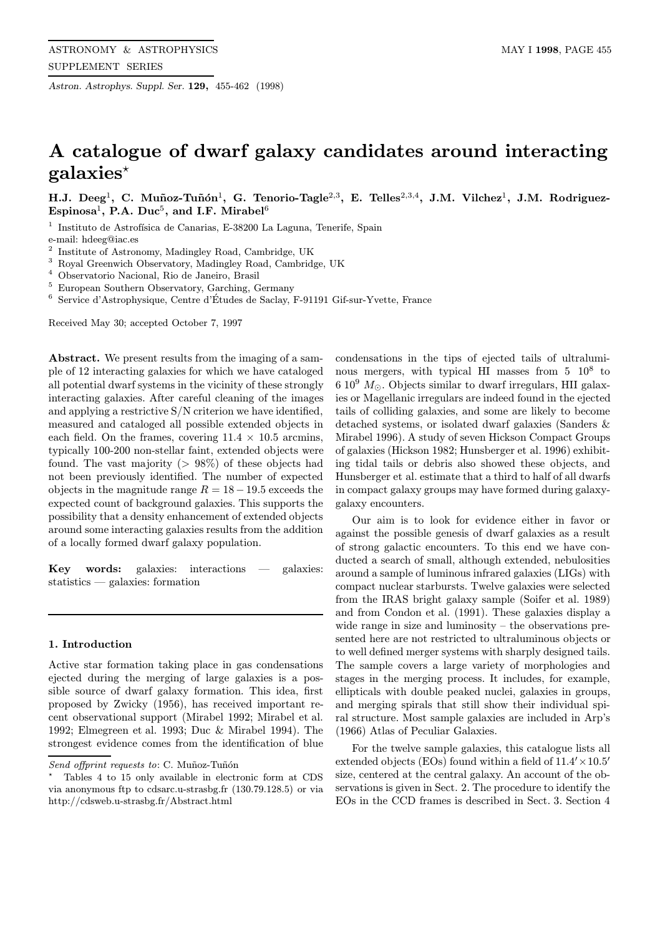Astron. Astrophys. Suppl. Ser. 129, 455-462 (1998)

# A catalogue of dwarf galaxy candidates around interacting  $galaxies<sup>*</sup>$

H.J. Deeg<sup>1</sup>, C. Muñoz-Tuñón<sup>1</sup>, G. Tenorio-Tagle<sup>2,3</sup>, E. Telles<sup>2,3,4</sup>, J.M. Vilchez<sup>1</sup>, J.M. Rodriguez-Espinosa<sup>1</sup>, P.A. Duc<sup>5</sup>, and I.F. Mirabel<sup>6</sup>

<sup>1</sup> Instituto de Astrofísica de Canarias, E-38200 La Laguna, Tenerife, Spain e-mail: hdeeg@iac.es

<sup>2</sup> Institute of Astronomy, Madingley Road, Cambridge, UK<br><sup>3</sup> Boyel Creenwich Observatory, Madingley Boad, Cambridge

<sup>3</sup> Royal Greenwich Observatory, Madingley Road, Cambridge, UK

<sup>4</sup> Observatorio Nacional, Rio de Janeiro, Brasil

<sup>5</sup> European Southern Observatory, Garching, Germany

<sup>6</sup> Service d'Astrophysique, Centre d'Etudes de Saclay, F-91191 Gif-sur-Yvette, France ´

Received May 30; accepted October 7, 1997

Abstract. We present results from the imaging of a sample of 12 interacting galaxies for which we have cataloged all potential dwarf systems in the vicinity of these strongly interacting galaxies. After careful cleaning of the images and applying a restrictive S/N criterion we have identified, measured and cataloged all possible extended objects in each field. On the frames, covering  $11.4 \times 10.5$  arcmins, typically 100-200 non-stellar faint, extended objects were found. The vast majority  $(> 98\%)$  of these objects had not been previously identified. The number of expected objects in the magnitude range  $R = 18 - 19.5$  exceeds the expected count of background galaxies. This supports the possibility that a density enhancement of extended objects around some interacting galaxies results from the addition of a locally formed dwarf galaxy population.

Key words: galaxies: interactions — galaxies: statistics — galaxies: formation

#### 1. Introduction

Active star formation taking place in gas condensations ejected during the merging of large galaxies is a possible source of dwarf galaxy formation. This idea, first proposed by Zwicky (1956), has received important recent observational support (Mirabel 1992; Mirabel et al. 1992; Elmegreen et al. 1993; Duc & Mirabel 1994). The strongest evidence comes from the identification of blue

condensations in the tips of ejected tails of ultraluminous mergers, with typical HI masses from  $5 \times 10^8$  to  $6~10^9$   $M_{\odot}$ . Objects similar to dwarf irregulars, HII galaxies or Magellanic irregulars are indeed found in the ejected tails of colliding galaxies, and some are likely to become detached systems, or isolated dwarf galaxies (Sanders & Mirabel 1996). A study of seven Hickson Compact Groups of galaxies (Hickson 1982; Hunsberger et al. 1996) exhibiting tidal tails or debris also showed these objects, and Hunsberger et al. estimate that a third to half of all dwarfs in compact galaxy groups may have formed during galaxygalaxy encounters.

Our aim is to look for evidence either in favor or against the possible genesis of dwarf galaxies as a result of strong galactic encounters. To this end we have conducted a search of small, although extended, nebulosities around a sample of luminous infrared galaxies (LIGs) with compact nuclear starbursts. Twelve galaxies were selected from the IRAS bright galaxy sample (Soifer et al. 1989) and from Condon et al. (1991). These galaxies display a wide range in size and luminosity – the observations presented here are not restricted to ultraluminous objects or to well defined merger systems with sharply designed tails. The sample covers a large variety of morphologies and stages in the merging process. It includes, for example, ellipticals with double peaked nuclei, galaxies in groups, and merging spirals that still show their individual spiral structure. Most sample galaxies are included in Arp's (1966) Atlas of Peculiar Galaxies.

For the twelve sample galaxies, this catalogue lists all extended objects (EOs) found within a field of  $11.4 \times 10.5$ <sup>t</sup> size, centered at the central galaxy. An account of the observations is given in Sect. 2. The procedure to identify the EOs in the CCD frames is described in Sect. 3. Section 4

Send offprint requests to: C. Muñoz-Tuñón

<sup>?</sup> Tables 4 to 15 only available in electronic form at CDS via anonymous ftp to cdsarc.u-strasbg.fr (130.79.128.5) or via http://cdsweb.u-strasbg.fr/Abstract.html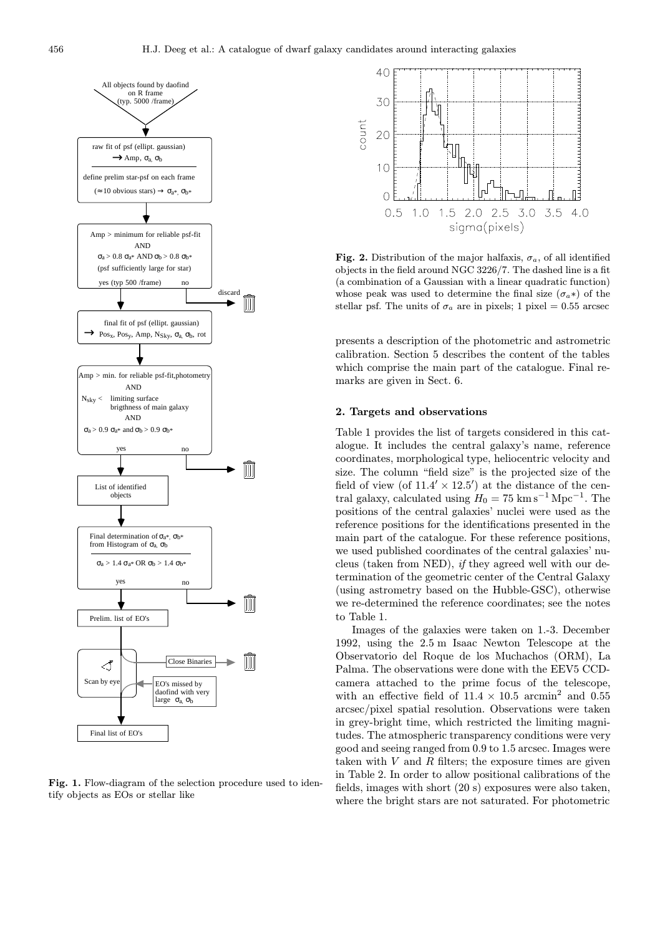

Fig. 1. Flow-diagram of the selection procedure used to identify objects as EOs or stellar like



Fig. 2. Distribution of the major halfaxis,  $\sigma_a$ , of all identified objects in the field around NGC 3226/7. The dashed line is a fit (a combination of a Gaussian with a linear quadratic function) whose peak was used to determine the final size  $(\sigma_a*)$  of the stellar psf. The units of  $\sigma_a$  are in pixels; 1 pixel = 0.55 arcsec

presents a description of the photometric and astrometric calibration. Section 5 describes the content of the tables which comprise the main part of the catalogue. Final remarks are given in Sect. 6.

#### 2. Targets and observations

Table 1 provides the list of targets considered in this catalogue. It includes the central galaxy's name, reference coordinates, morphological type, heliocentric velocity and size. The column "field size" is the projected size of the field of view (of  $11.4' \times 12.5'$ ) at the distance of the central galaxy, calculated using  $H_0 = 75 \text{ km s}^{-1} \text{ Mpc}^{-1}$ . The positions of the central galaxies' nuclei were used as the reference positions for the identifications presented in the main part of the catalogue. For these reference positions, we used published coordinates of the central galaxies' nucleus (taken from NED), if they agreed well with our determination of the geometric center of the Central Galaxy (using astrometry based on the Hubble-GSC), otherwise we re-determined the reference coordinates; see the notes to Table 1.

Images of the galaxies were taken on 1.-3. December 1992, using the 2.5 m Isaac Newton Telescope at the Observatorio del Roque de los Muchachos (ORM), La Palma. The observations were done with the EEV5 CCDcamera attached to the prime focus of the telescope, with an effective field of  $11.4 \times 10.5$  arcmin<sup>2</sup> and 0.55 arcsec/pixel spatial resolution. Observations were taken in grey-bright time, which restricted the limiting magnitudes. The atmospheric transparency conditions were very good and seeing ranged from 0.9 to 1.5 arcsec. Images were taken with  $V$  and  $R$  filters; the exposure times are given in Table 2. In order to allow positional calibrations of the fields, images with short (20 s) exposures were also taken, where the bright stars are not saturated. For photometric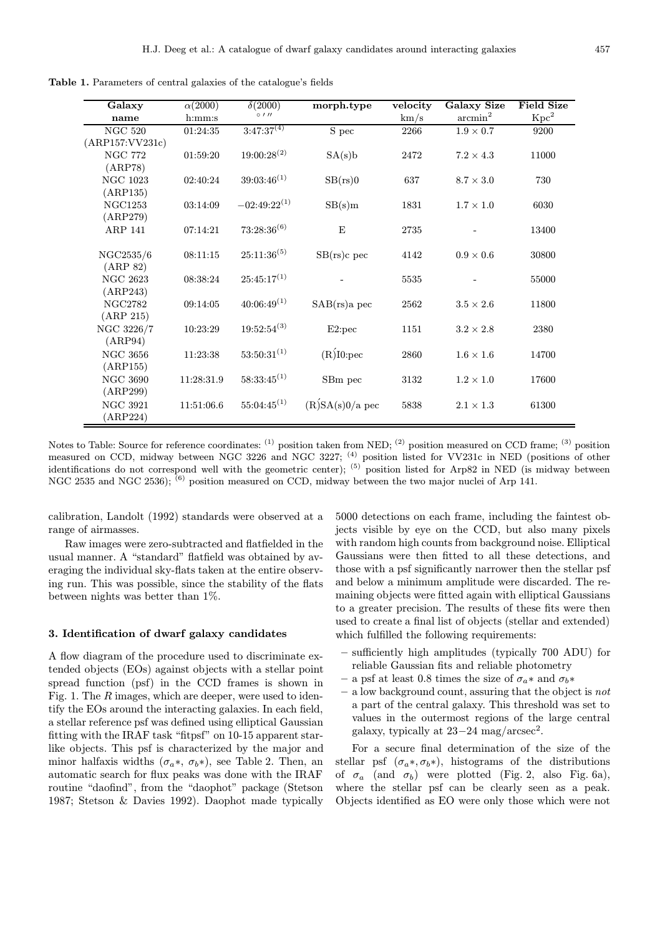Galaxy  $\alpha(2000)$   $\delta(2000)$  morph.type velocity Galaxy Size Field Size name h:mm:s ◦  $0^{11}$  contracts the higher  $\text{km/s}$  arcmin<sup>2</sup> Kpc<sup>2</sup> NGC 520 01:24:35 3:47:37<sup>(4)</sup> S pec 2266 1.9 × 0.7 9200 (ARP157:VV231c) NGC 772 01:59:20 19:00:28<sup>(2)</sup>  $SA(s)b$  2472 7.2 × 4.3 11000 (ARP78) NGC 1023 02:40:24  $39:03:46^{(1)}$  SB(rs)0 637 8.7 × 3.0 730 (ARP135) NGC1253 03:14:09  $-02:49:22^{(1)}$  SB(s)m 1831  $1.7 \times 1.0$  6030 (ARP279) ARP 141  $07:14:21$   $73:28:36^{(6)}$  E 2735 - 13400 NGC2535/6 08:11:15 25:11:36<sup>(5)</sup> SB(rs)c pec 4142  $0.9 \times 0.6$  30800 (ARP 82) NGC 2623 08:38:24  $25:45:17^{(1)}$  - 5535 - 55000 (ARP243) NGC2782 09:14:05 40:06:49<sup>(1)</sup> SAB(rs)a pec 2562 3.5 × 2.6 11800 (ARP 215) NGC 3226/7 10:23:29 19:52:54<sup>(3)</sup> E2:pec 1151 3.2 × 2.8 2380 (ARP94) NGC 3656 11:23:38 53:50:31<sup>(1)</sup>  $(R)$ <sup>[10</sup>:pec 2860 1.6 × 1.6 14700 (ARP155) NGC 3690 11:28:31.9 58:33:45<sup>(1)</sup> SBm pec 3132 1.2 × 1.0 17600 (ARP299) NGC 3921 11:51:06.6 55:04:45<sup>(1)</sup>  $(R)SA(s)0/a$  pec 5838 2.1 × 1.3 61300 (ARP224)

Table 1. Parameters of central galaxies of the catalogue's fields

Notes to Table: Source for reference coordinates: <sup>(1)</sup> position taken from NED; <sup>(2)</sup> position measured on CCD frame; <sup>(3)</sup> position measured on CCD, midway between NGC 3226 and NGC 3227; <sup>(4)</sup> position listed for VV231c in NED (positions of other identifications do not correspond well with the geometric center); <sup>(5)</sup> position listed for Arp82 in NED (is midway between NGC 2535 and NGC 2536); <sup>(6)</sup> position measured on CCD, midway between the two major nuclei of Arp 141.

calibration, Landolt (1992) standards were observed at a range of airmasses.

Raw images were zero-subtracted and flatfielded in the usual manner. A "standard" flatfield was obtained by averaging the individual sky-flats taken at the entire observing run. This was possible, since the stability of the flats between nights was better than 1%.

#### 3. Identification of dwarf galaxy candidates

A flow diagram of the procedure used to discriminate extended objects (EOs) against objects with a stellar point spread function (psf) in the CCD frames is shown in Fig. 1. The R images, which are deeper, were used to identify the EOs around the interacting galaxies. In each field, a stellar reference psf was defined using elliptical Gaussian fitting with the IRAF task "fitpsf" on 10-15 apparent starlike objects. This psf is characterized by the major and minor halfaxis widths  $(\sigma_a*, \sigma_b*)$ , see Table 2. Then, an automatic search for flux peaks was done with the IRAF routine "daofind", from the "daophot" package (Stetson 1987; Stetson & Davies 1992). Daophot made typically 5000 detections on each frame, including the faintest objects visible by eye on the CCD, but also many pixels with random high counts from background noise. Elliptical Gaussians were then fitted to all these detections, and those with a psf significantly narrower then the stellar psf and below a minimum amplitude were discarded. The remaining objects were fitted again with elliptical Gaussians to a greater precision. The results of these fits were then used to create a final list of objects (stellar and extended) which fulfilled the following requirements:

- sufficiently high amplitudes (typically 700 ADU) for reliable Gaussian fits and reliable photometry
- a psf at least 0.8 times the size of  $\sigma_a$ \* and  $\sigma_b$ \*
- a low background count, assuring that the object is not a part of the central galaxy. This threshold was set to values in the outermost regions of the large central galaxy, typically at  $23-24$  mag/arcsec<sup>2</sup>.

For a secure final determination of the size of the stellar psf  $(\sigma_a*, \sigma_b*)$ , histograms of the distributions of  $\sigma_a$  (and  $\sigma_b$ ) were plotted (Fig. 2, also Fig. 6a), where the stellar psf can be clearly seen as a peak. Objects identified as EO were only those which were not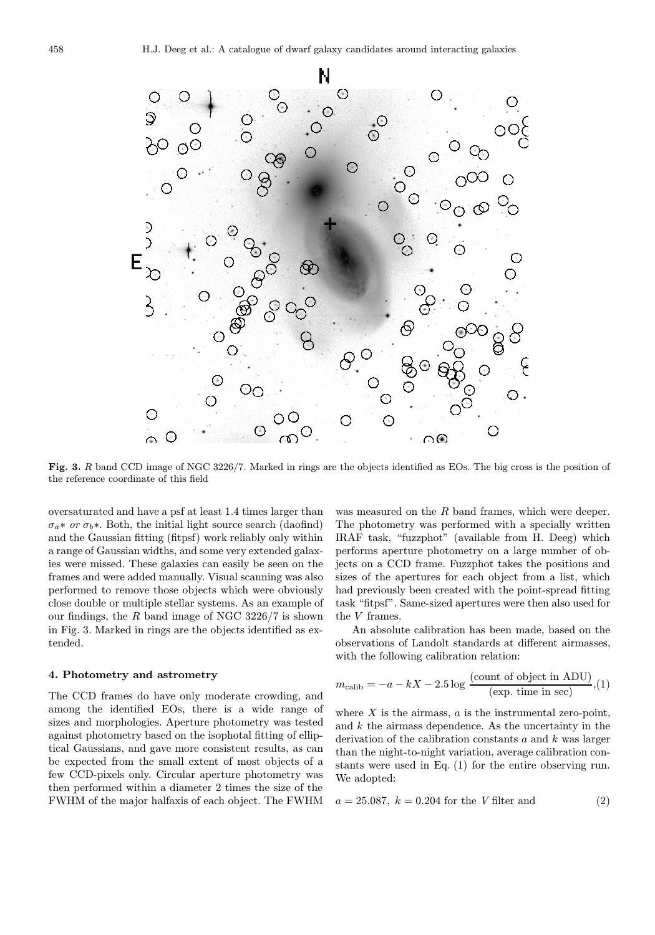

Fig. 3. R band CCD image of NGC 3226/7. Marked in rings are the objects identified as EOs. The big cross is the position of the reference coordinate of this field

oversaturated and have a psf at least 1.4 times larger than  $\sigma_a * \text{ or } \sigma_b *$ . Both, the initial light source search (daofind) and the Gaussian fitting (fitpsf) work reliably only within a range of Gaussian widths, and some very extended galaxies were missed. These galaxies can easily be seen on the frames and were added manually. Visual scanning was also performed to remove those objects which were obviously close double or multiple stellar systems. As an example of our findings, the  $R$  band image of NGC 3226/7 is shown in Fig. 3. Marked in rings are the objects identified as extended.

#### 4. Photometry and astrometry

The CCD frames do have only moderate crowding, and among the identified EOs, there is a wide range of sizes and morphologies. Aperture photometry was tested against photometry based on the isophotal fitting of elliptical Gaussians, and gave more consistent results, as can be expected from the small extent of most objects of a few CCD-pixels only. Circular aperture photometry was then performed within a diameter 2 times the size of the FWHM of the major halfaxis of each object. The FWHM

was measured on the R band frames, which were deeper. The photometry was performed with a specially written IRAF task, "fuzzphot" (available from H. Deeg) which performs aperture photometry on a large number of objects on a CCD frame. Fuzzphot takes the positions and sizes of the apertures for each object from a list, which had previously been created with the point-spread fitting task "fitpsf". Same-sized apertures were then also used for the V frames.

An absolute calibration has been made, based on the observations of Landolt standards at different airmasses, with the following calibration relation:

$$
m_{\text{calib}} = -a - kX - 2.5 \log \frac{(\text{count of object in ADU})}{(\text{exp. time in sec})}, (1)
$$

where  $X$  is the airmass,  $a$  is the instrumental zero-point, and  $k$  the airmass dependence. As the uncertainty in the derivation of the calibration constants  $a$  and  $k$  was larger than the night-to-night variation, average calibration constants were used in Eq. (1) for the entire observing run. We adopted:

$$
a = 25.087, k = 0.204
$$
 for the V filter and (2)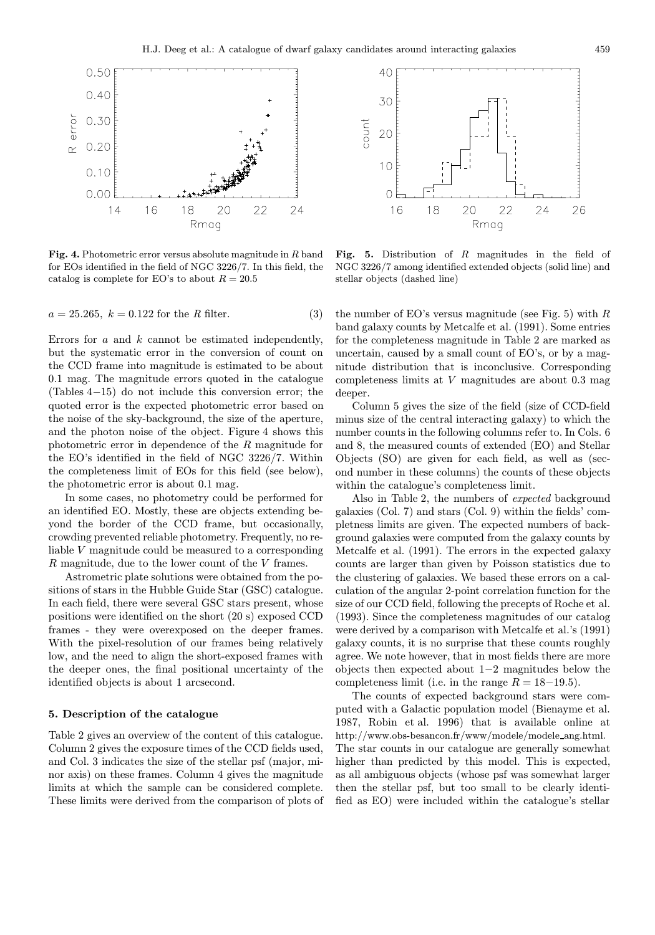

Fig. 4. Photometric error versus absolute magnitude in  $R$  band for EOs identified in the field of NGC 3226/7. In this field, the catalog is complete for EO's to about  $R = 20.5$ 

 $a = 25.265, k = 0.122$  for the R filter. (3)

Errors for  $a$  and  $k$  cannot be estimated independently, but the systematic error in the conversion of count on the CCD frame into magnitude is estimated to be about 0.1 mag. The magnitude errors quoted in the catalogue (Tables 4−15) do not include this conversion error; the quoted error is the expected photometric error based on the noise of the sky-background, the size of the aperture, and the photon noise of the object. Figure 4 shows this photometric error in dependence of the R magnitude for the EO's identified in the field of NGC 3226/7. Within the completeness limit of EOs for this field (see below), the photometric error is about 0.1 mag.

In some cases, no photometry could be performed for an identified EO. Mostly, these are objects extending beyond the border of the CCD frame, but occasionally, crowding prevented reliable photometry. Frequently, no reliable V magnitude could be measured to a corresponding R magnitude, due to the lower count of the V frames.

Astrometric plate solutions were obtained from the positions of stars in the Hubble Guide Star (GSC) catalogue. In each field, there were several GSC stars present, whose positions were identified on the short (20 s) exposed CCD frames - they were overexposed on the deeper frames. With the pixel-resolution of our frames being relatively low, and the need to align the short-exposed frames with the deeper ones, the final positional uncertainty of the identified objects is about 1 arcsecond.

## 5. Description of the catalogue

Table 2 gives an overview of the content of this catalogue. Column 2 gives the exposure times of the CCD fields used, and Col. 3 indicates the size of the stellar psf (major, minor axis) on these frames. Column 4 gives the magnitude limits at which the sample can be considered complete. These limits were derived from the comparison of plots of



Fig. 5. Distribution of  $R$  magnitudes in the field of NGC 3226/7 among identified extended objects (solid line) and stellar objects (dashed line)

the number of EO's versus magnitude (see Fig. 5) with  $R$ band galaxy counts by Metcalfe et al. (1991). Some entries for the completeness magnitude in Table 2 are marked as uncertain, caused by a small count of EO's, or by a magnitude distribution that is inconclusive. Corresponding completeness limits at V magnitudes are about 0.3 mag deeper.

Column 5 gives the size of the field (size of CCD-field minus size of the central interacting galaxy) to which the number counts in the following columns refer to. In Cols. 6 and 8, the measured counts of extended (EO) and Stellar Objects (SO) are given for each field, as well as (second number in these columns) the counts of these objects within the catalogue's completeness limit.

Also in Table 2, the numbers of expected background galaxies (Col. 7) and stars (Col. 9) within the fields' completness limits are given. The expected numbers of background galaxies were computed from the galaxy counts by Metcalfe et al. (1991). The errors in the expected galaxy counts are larger than given by Poisson statistics due to the clustering of galaxies. We based these errors on a calculation of the angular 2-point correlation function for the size of our CCD field, following the precepts of Roche et al. (1993). Since the completeness magnitudes of our catalog were derived by a comparison with Metcalfe et al.'s (1991) galaxy counts, it is no surprise that these counts roughly agree. We note however, that in most fields there are more objects then expected about 1−2 magnitudes below the completeness limit (i.e. in the range  $R = 18-19.5$ ).

The counts of expected background stars were computed with a Galactic population model (Bienayme et al. 1987, Robin et al. 1996) that is available online at http://www.obs-besancon.fr/www/modele/modele\_ang.html. The star counts in our catalogue are generally somewhat higher than predicted by this model. This is expected, as all ambiguous objects (whose psf was somewhat larger then the stellar psf, but too small to be clearly identified as EO) were included within the catalogue's stellar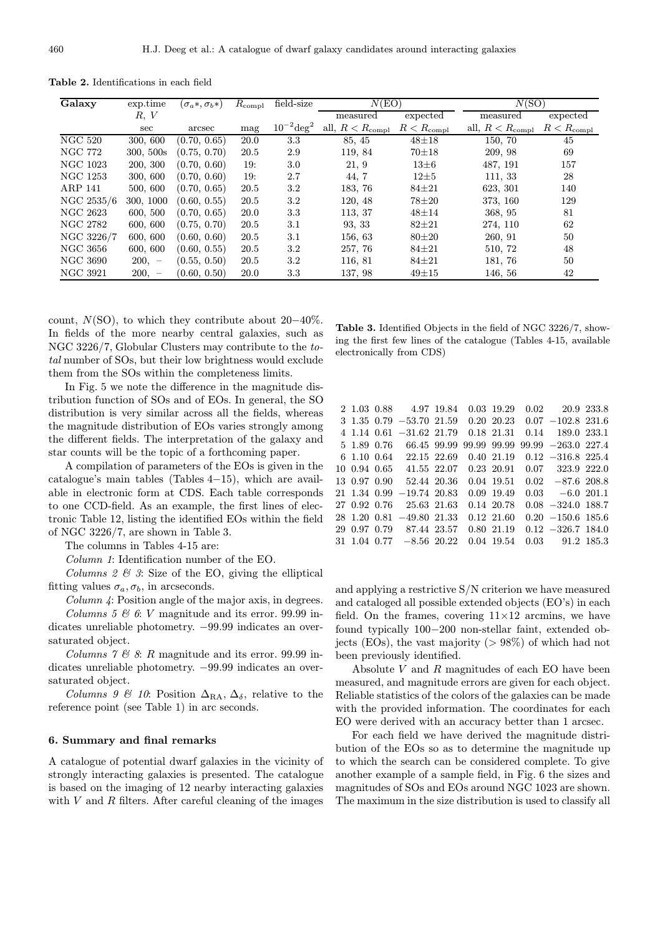| <b>Table 2.</b> Identifications in each field |  |  |  |  |
|-----------------------------------------------|--|--|--|--|
|-----------------------------------------------|--|--|--|--|

| Galaxy          | exp.time  | $(\sigma_a*, \sigma_b*)$ | $R_{\rm compl}$ | field-size             | N(EO)                    |                     | N(SO)                       |                     |
|-----------------|-----------|--------------------------|-----------------|------------------------|--------------------------|---------------------|-----------------------------|---------------------|
|                 | R, V      |                          |                 |                        | measured                 | expected            | measured                    | expected            |
|                 | sec       | arcsec                   | mag             | $10^{-2} \text{deg}^2$ | all, $R < R_{\rm compl}$ | $R < R_{\rm compl}$ | all, $R < R_{\text{compl}}$ | $R < R_{\rm compl}$ |
| NGC $520$       | 300, 600  | (0.70, 0.65)             | 20.0            | 3.3                    | 85, 45                   | $48 + 18$           | 150, 70                     | 45                  |
| NGC 772         | 300, 500s | (0.75, 0.70)             | 20.5            | 2.9                    | 119, 84                  | $70 + 18$           | 209, 98                     | 69                  |
| NGC 1023        | 200, 300  | (0.70, 0.60)             | 19:             | 3.0                    | 21, 9                    | $13\pm6$            | 487, 191                    | 157                 |
| NGC 1253        | 300, 600  | (0.70, 0.60)             | 19:             | 2.7                    | 44, 7                    | $12 + 5$            | 111, 33                     | 28                  |
| ARP 141         | 500, 600  | (0.70, 0.65)             | 20.5            | 3.2                    | 183, 76                  | $84 + 21$           | 623, 301                    | 140                 |
| NGC 2535/6      | 300, 1000 | (0.60, 0.55)             | 20.5            | 3.2                    | 120, 48                  | 78±20               | 373, 160                    | 129                 |
| NGC 2623        | 600, 500  | (0.70, 0.65)             | 20.0            | 3.3                    | 113, 37                  | $48 + 14$           | 368, 95                     | 81                  |
| NGC 2782        | 600, 600  | (0.75, 0.70)             | 20.5            | 3.1                    | 93, 33                   | $82 + 21$           | 274, 110                    | 62                  |
| NGC 3226/7      | 600, 600  | (0.60, 0.60)             | 20.5            | 3.1                    | 156, 63                  | $80 + 20$           | 260, 91                     | 50                  |
| NGC 3656        | 600, 600  | (0.60, 0.55)             | 20.5            | 3.2                    | 257, 76                  | $84 \pm 21$         | 510, 72                     | 48                  |
| NGC 3690        | $200, -$  | (0.55, 0.50)             | 20.5            | 3.2                    | 116, 81                  | $84 + 21$           | 181, 76                     | 50                  |
| <b>NGC 3921</b> | $200, -$  | (0.60, 0.50)             | 20.0            | 3.3                    | 137, 98                  | $49 + 15$           | 146, 56                     | 42                  |

count,  $N(SO)$ , to which they contribute about 20–40%. In fields of the more nearby central galaxies, such as NGC 3226/7, Globular Clusters may contribute to the total number of SOs, but their low brightness would exclude them from the SOs within the completeness limits.

In Fig. 5 we note the difference in the magnitude distribution function of SOs and of EOs. In general, the SO distribution is very similar across all the fields, whereas the magnitude distribution of EOs varies strongly among the different fields. The interpretation of the galaxy and star counts will be the topic of a forthcoming paper.

A compilation of parameters of the EOs is given in the catalogue's main tables (Tables 4−15), which are available in electronic form at CDS. Each table corresponds to one CCD-field. As an example, the first lines of electronic Table 12, listing the identified EOs within the field of NGC 3226/7, are shown in Table 3.

The columns in Tables 4-15 are:

Column 1: Identification number of the EO.

Columns  $2 \& 3$ : Size of the EO, giving the elliptical fitting values  $\sigma_a, \sigma_b$ , in arcseconds.

Column 4: Position angle of the major axis, in degrees. Columns 5  $\mathcal C$  6: V magnitude and its error. 99.99 indicates unreliable photometry. −99.99 indicates an oversaturated object.

Columns  $7 \&$  8: R magnitude and its error. 99.99 indicates unreliable photometry. −99.99 indicates an oversaturated object.

Columns 9 & 10: Position  $\Delta_{\rm RA}$ ,  $\Delta_{\delta}$ , relative to the reference point (see Table 1) in arc seconds.

#### 6. Summary and final remarks

A catalogue of potential dwarf galaxies in the vicinity of strongly interacting galaxies is presented. The catalogue is based on the imaging of 12 nearby interacting galaxies with  $V$  and  $R$  filters. After careful cleaning of the images

Table 3. Identified Objects in the field of NGC 3226/7, showing the first few lines of the catalogue (Tables 4-15, available electronically from CDS)

|              | 2 1.03 0.88 4.97 19.84                             |             | 0.03 19.29    | $0.02$ 20.9 233.8     |  |
|--------------|----------------------------------------------------|-------------|---------------|-----------------------|--|
|              | $3\ \ 1.35\ \ 0.79\ \ -53.70\ \ 21.59$             |             | $0.20\ 20.23$ | $0.07 -102.8$ 231.6   |  |
|              | $4$ 1.14 0.61 $-31.62$ 21.79                       |             | 0.18 21.31    | 0.14 189.0 233.1      |  |
| 5 1.89 0.76  | 66.45 99.99                                        | 99.99 99.99 |               | $99.99 - 263.0$ 227.4 |  |
|              | 6 1.10 0.64 22.15 22.69                            |             | 0.40 21.19    | $0.12 -316.8$ 225.4   |  |
|              | 10 0.94 0.65 41.55 22.07 0.23 20.91                |             |               | $0.07$ 323.9 222.0    |  |
|              | 13 0.97 0.90 52.44 20.36                           |             | 0.04 19.51    | $0.02 -87.6$ 208.8    |  |
|              | $21$ 1.34 0.99 $-19.74$ 20.83                      |             | 0.09 19.49    | $0.03 -6.0201.1$      |  |
| 27 0.92 0.76 | 25.63 21.63                                        |             | 0.14 20.78    | $0.08 - 324.0 188.7$  |  |
| 28 1.20 0.81 | $-49.80$ 21.33                                     |             | $0.12\ 21.60$ | $0.20 -150.6$ 185.6   |  |
|              | 29 0.97 0.79 87.44 23.57                           |             | 0.80 21.19    | $0.12 -326.7$ 184.0   |  |
|              | $31 \quad 1.04 \quad 0.77 \quad -8.56 \quad 20.22$ |             | 0.04 19.54    | $0.03$ $91.2$ $185.3$ |  |

and applying a restrictive  $\ensuremath{\mathrm{S/N}}$  criterion we have measured and cataloged all possible extended objects (EO's) in each field. On the frames, covering  $11\times12$  arcmins, we have found typically 100−200 non-stellar faint, extended objects (EOs), the vast majority ( $> 98\%$ ) of which had not been previously identified.

Absolute V and R magnitudes of each EO have been measured, and magnitude errors are given for each object. Reliable statistics of the colors of the galaxies can be made with the provided information. The coordinates for each EO were derived with an accuracy better than 1 arcsec.

For each field we have derived the magnitude distribution of the EOs so as to determine the magnitude up to which the search can be considered complete. To give another example of a sample field, in Fig. 6 the sizes and magnitudes of SOs and EOs around NGC 1023 are shown. The maximum in the size distribution is used to classify all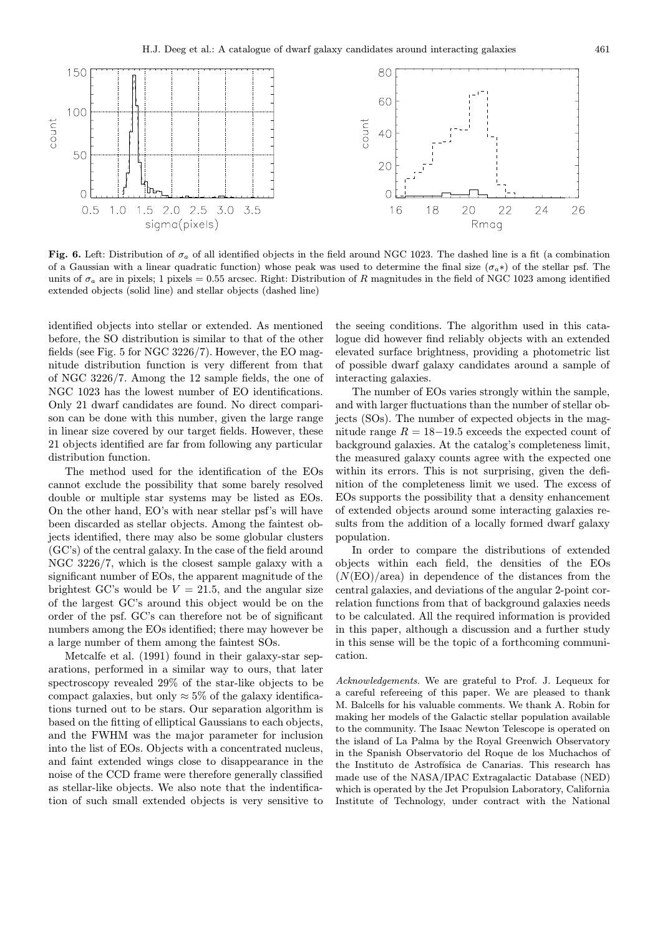

Fig. 6. Left: Distribution of  $\sigma_a$  of all identified objects in the field around NGC 1023. The dashed line is a fit (a combination of a Gaussian with a linear quadratic function) whose peak was used to determine the final size  $(\sigma_a*)$  of the stellar psf. The units of  $\sigma_a$  are in pixels; 1 pixels = 0.55 arcsec. Right: Distribution of R magnitudes in the field of NGC 1023 among identified extended objects (solid line) and stellar objects (dashed line)

identified objects into stellar or extended. As mentioned before, the SO distribution is similar to that of the other fields (see Fig. 5 for NGC 3226/7). However, the EO magnitude distribution function is very different from that of NGC 3226/7. Among the 12 sample fields, the one of NGC 1023 has the lowest number of EO identifications. Only 21 dwarf candidates are found. No direct comparison can be done with this number, given the large range in linear size covered by our target fields. However, these 21 objects identified are far from following any particular distribution function.

The method used for the identification of the EOs cannot exclude the possibility that some barely resolved double or multiple star systems may be listed as EOs. On the other hand, EO's with near stellar psf's will have been discarded as stellar objects. Among the faintest objects identified, there may also be some globular clusters (GC's) of the central galaxy. In the case of the field around NGC 3226/7, which is the closest sample galaxy with a significant number of EOs, the apparent magnitude of the brightest GC's would be  $V = 21.5$ , and the angular size of the largest GC's around this object would be on the order of the psf. GC's can therefore not be of significant numbers among the EOs identified; there may however be a large number of them among the faintest SOs.

Metcalfe et al. (1991) found in their galaxy-star separations, performed in a similar way to ours, that later spectroscopy revealed 29% of the star-like objects to be compact galaxies, but only  $\approx 5\%$  of the galaxy identifications turned out to be stars. Our separation algorithm is based on the fitting of elliptical Gaussians to each objects, and the FWHM was the major parameter for inclusion into the list of EOs. Objects with a concentrated nucleus, and faint extended wings close to disappearance in the noise of the CCD frame were therefore generally classified as stellar-like objects. We also note that the indentification of such small extended objects is very sensitive to

the seeing conditions. The algorithm used in this catalogue did however find reliably objects with an extended elevated surface brightness, providing a photometric list of possible dwarf galaxy candidates around a sample of interacting galaxies.

The number of EOs varies strongly within the sample, and with larger fluctuations than the number of stellar objects (SOs). The number of expected objects in the magnitude range  $R = 18-19.5$  exceeds the expected count of background galaxies. At the catalog's completeness limit, the measured galaxy counts agree with the expected one within its errors. This is not surprising, given the definition of the completeness limit we used. The excess of EOs supports the possibility that a density enhancement of extended objects around some interacting galaxies results from the addition of a locally formed dwarf galaxy population.

In order to compare the distributions of extended objects within each field, the densities of the EOs  $(N(EO)/area)$  in dependence of the distances from the central galaxies, and deviations of the angular 2-point correlation functions from that of background galaxies needs to be calculated. All the required information is provided in this paper, although a discussion and a further study in this sense will be the topic of a forthcoming communication.

Acknowledgements. We are grateful to Prof. J. Lequeux for a careful refereeing of this paper. We are pleased to thank M. Balcells for his valuable comments. We thank A. Robin for making her models of the Galactic stellar population available to the community. The Isaac Newton Telescope is operated on the island of La Palma by the Royal Greenwich Observatory in the Spanish Observatorio del Roque de los Muchachos of the Instituto de Astrofísica de Canarias. This research has made use of the NASA/IPAC Extragalactic Database (NED) which is operated by the Jet Propulsion Laboratory, California Institute of Technology, under contract with the National